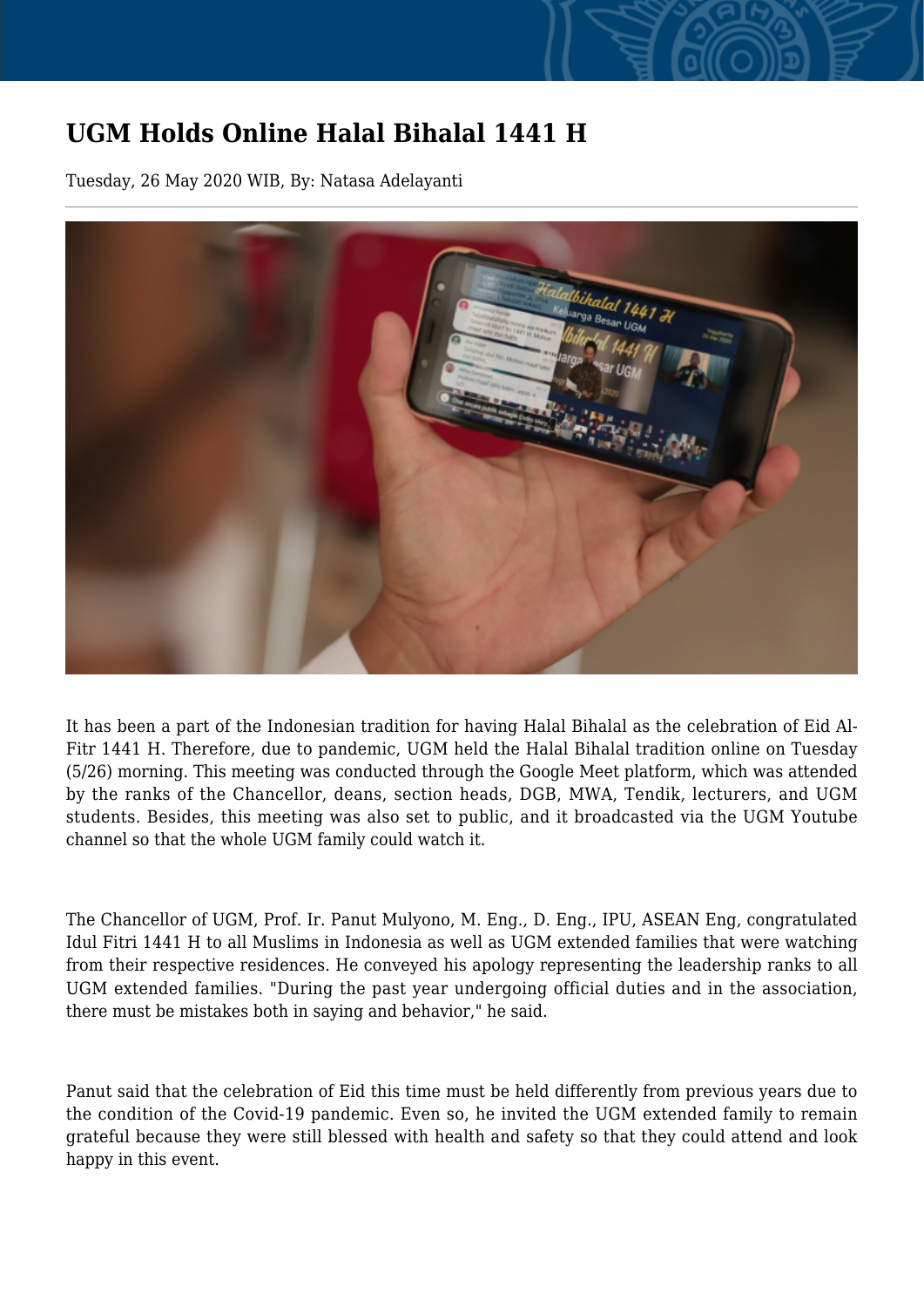## **UGM Holds Online Halal Bihalal 1441 H**

Tuesday, 26 May 2020 WIB, By: Natasa Adelayanti



It has been a part of the Indonesian tradition for having Halal Bihalal as the celebration of Eid Al-Fitr 1441 H. Therefore, due to pandemic, UGM held the Halal Bihalal tradition online on Tuesday (5/26) morning. This meeting was conducted through the Google Meet platform, which was attended by the ranks of the Chancellor, deans, section heads, DGB, MWA, Tendik, lecturers, and UGM students. Besides, this meeting was also set to public, and it broadcasted via the UGM Youtube channel so that the whole UGM family could watch it.

The Chancellor of UGM, Prof. Ir. Panut Mulyono, M. Eng., D. Eng., IPU, ASEAN Eng, congratulated Idul Fitri 1441 H to all Muslims in Indonesia as well as UGM extended families that were watching from their respective residences. He conveyed his apology representing the leadership ranks to all UGM extended families. "During the past year undergoing official duties and in the association, there must be mistakes both in saying and behavior," he said.

Panut said that the celebration of Eid this time must be held differently from previous years due to the condition of the Covid-19 pandemic. Even so, he invited the UGM extended family to remain grateful because they were still blessed with health and safety so that they could attend and look happy in this event.